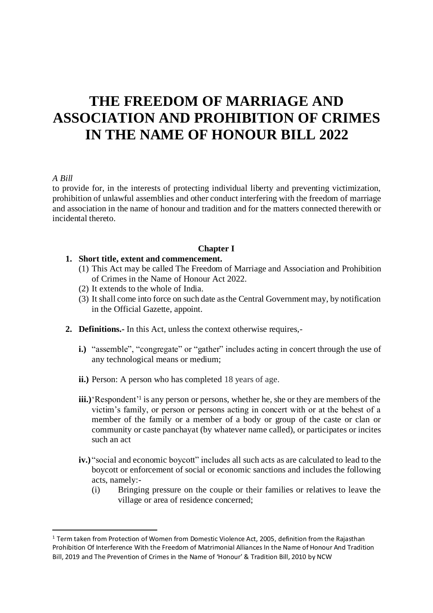# **THE FREEDOM OF MARRIAGE AND ASSOCIATION AND PROHIBITION OF CRIMES IN THE NAME OF HONOUR BILL 2022**

#### *A Bill*

to provide for, in the interests of protecting individual liberty and preventing victimization, prohibition of unlawful assemblies and other conduct interfering with the freedom of marriage and association in the name of honour and tradition and for the matters connected therewith or incidental thereto.

#### **Chapter I**

#### **1. Short title, extent and commencement.**

- (1) This Act may be called The Freedom of Marriage and Association and Prohibition of Crimes in the Name of Honour Act 2022.
- (2) It extends to the whole of India.
- (3) It shall come into force on such date as the Central Government may, by notification in the Official Gazette, appoint.
- **2. Definitions.-** In this Act, unless the context otherwise requires,
	- **i.**) "assemble", "congregate" or "gather" includes acting in concert through the use of any technological means or medium;
	- **ii.**) Person: A person who has completed 18 years of age.
	- iii.) Respondent<sup>'1</sup> is any person or persons, whether he, she or they are members of the victim's family, or person or persons acting in concert with or at the behest of a member of the family or a member of a body or group of the caste or clan or community or caste panchayat (by whatever name called), or participates or incites such an act
	- **iv.)** "social and economic boycott" includes all such acts as are calculated to lead to the boycott or enforcement of social or economic sanctions and includes the following acts, namely:-
		- (i) Bringing pressure on the couple or their families or relatives to leave the village or area of residence concerned;

<sup>&</sup>lt;sup>1</sup> Term taken from Protection of Women from Domestic Violence Act, 2005, definition from the Rajasthan Prohibition Of Interference With the Freedom of Matrimonial Alliances In the Name of Honour And Tradition Bill, 2019 and The Prevention of Crimes in the Name of 'Honour' & Tradition Bill, 2010 by NCW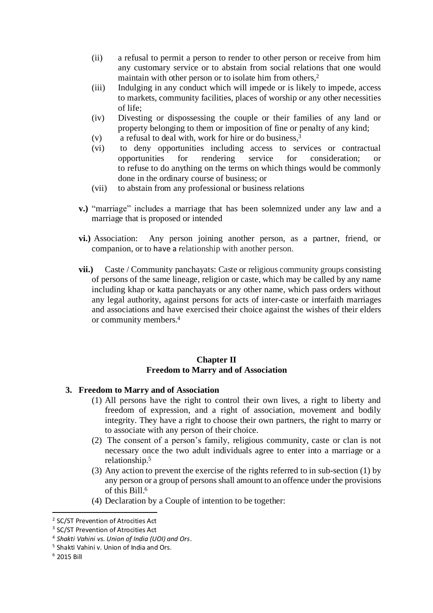- (ii) a refusal to permit a person to render to other person or receive from him any customary service or to abstain from social relations that one would maintain with other person or to isolate him from others,<sup>2</sup>
- (iii) Indulging in any conduct which will impede or is likely to impede, access to markets, community facilities, places of worship or any other necessities of life;
- (iv) Divesting or dispossessing the couple or their families of any land or property belonging to them or imposition of fine or penalty of any kind;
- (v) a refusal to deal with, work for hire or do business, 3
- (vi) to deny opportunities including access to services or contractual opportunities for rendering service for consideration; or to refuse to do anything on the terms on which things would be commonly done in the ordinary course of business; or
- (vii) to abstain from any professional or business relations
- **v.)** "marriage" includes a marriage that has been solemnized under any law and a marriage that is proposed or intended
- **vi.)** Association: Any person joining another person, as a partner, friend, or companion, or to have a relationship with another person.
- **vii.)** Caste / Community panchayats: Caste or religious community groups consisting of persons of the same lineage, religion or caste, which may be called by any name including khap or katta panchayats or any other name, which pass orders without any legal authority, against persons for acts of inter-caste or interfaith marriages and associations and have exercised their choice against the wishes of their elders or community members.<sup>4</sup>

## **Chapter II Freedom to Marry and of Association**

## **3. Freedom to Marry and of Association**

- (1) All persons have the right to control their own lives, a right to liberty and freedom of expression, and a right of association, movement and bodily integrity. They have a right to choose their own partners, the right to marry or to associate with any person of their choice.
- (2) The consent of a person's family, religious community, caste or clan is not necessary once the two adult individuals agree to enter into a marriage or a relationship.<sup>5</sup>
- (3) Any action to prevent the exercise of the rights referred to in sub-section (1) by any person or a group of persons shall amount to an offence under the provisions of this Bill.<sup>6</sup>
- (4) Declaration by a Couple of intention to be together:

<sup>&</sup>lt;sup>2</sup> SC/ST Prevention of Atrocities Act

<sup>&</sup>lt;sup>3</sup> SC/ST Prevention of Atrocities Act

<sup>4</sup> *Shakti Vahini vs. Union of India (UOI) and Ors*.

<sup>5</sup> Shakti Vahini v. Union of India and Ors.

<sup>6</sup> 2015 Bill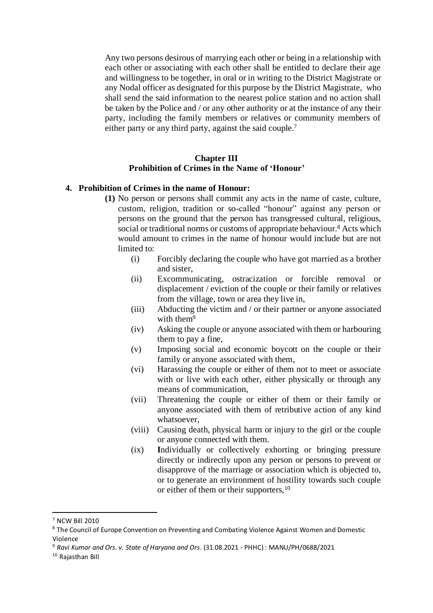Any two persons desirous of marrying each other or being in a relationship with each other or associating with each other shall be entitled to declare their age and willingness to be together, in oral or in writing to the District Magistrate or any Nodal officer as designated for this purpose by the District Magistrate, who shall send the said information to the nearest police station and no action shall be taken by the Police and / or any other authority or at the instance of any their party, including the family members or relatives or community members of either party or any third party, against the said couple.<sup>7</sup>

#### **Chapter III Prohibition of Crimes in the Name of 'Honour'**

## **4. Prohibition of Crimes in the name of Honour:**

- **(1)** No person or persons shall commit any acts in the name of caste, culture, custom, religion, tradition or so-called "honour" against any person or persons on the ground that the person has transgressed cultural, religious, social or traditional norms or customs of appropriate behaviour.<sup>8</sup> Acts which would amount to crimes in the name of honour would include but are not limited to:
	- (i) Forcibly declaring the couple who have got married as a brother and sister,
	- (ii) Excommunicating, ostracization or forcible removal or displacement / eviction of the couple or their family or relatives from the village, town or area they live in,
	- (iii) Abducting the victim and / or their partner or anyone associated with them<sup>9</sup>
	- (iv) Asking the couple or anyone associated with them or harbouring them to pay a fine,
	- (v) Imposing social and economic boycott on the couple or their family or anyone associated with them,
	- (vi) Harassing the couple or either of them not to meet or associate with or live with each other, either physically or through any means of communication,
	- (vii) Threatening the couple or either of them or their family or anyone associated with them of retributive action of any kind whatsoever,
	- (viii) Causing death, physical harm or injury to the girl or the couple or anyone connected with them.
	- (ix) **I**ndividually or collectively exhorting or bringing pressure directly or indirectly upon any person or persons to prevent or disapprove of the marriage or association which is objected to, or to generate an environment of hostility towards such couple or either of them or their supporters, <sup>10</sup>

<sup>7</sup> NCW Bill 2010

<sup>&</sup>lt;sup>8</sup> The Council of Europe Convention on Preventing and Combating Violence Against Women and Domestic Violence

<sup>9</sup> *Ravi Kumar and Ors. v. State of Haryana and Ors*. (31.08.2021 - PHHC) : MANU/PH/0688/2021

<sup>10</sup> Rajasthan Bill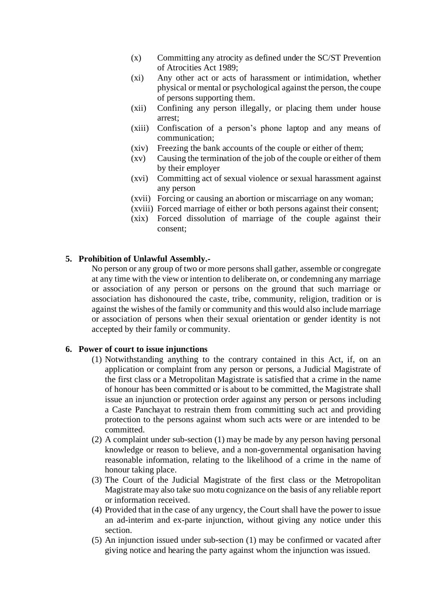- (x) Committing any atrocity as defined under the SC/ST Prevention of Atrocities Act 1989;
- (xi) Any other act or acts of harassment or intimidation, whether physical or mental or psychological against the person, the coupe of persons supporting them.
- (xii) Confining any person illegally, or placing them under house arrest;
- (xiii) Confiscation of a person's phone laptop and any means of communication;
- (xiv) Freezing the bank accounts of the couple or either of them;
- (xv) Causing the termination of the job of the couple or either of them by their employer
- (xvi) Committing act of sexual violence or sexual harassment against any person
- (xvii) Forcing or causing an abortion or miscarriage on any woman;
- (xviii) Forced marriage of either or both persons against their consent;
- (xix) Forced dissolution of marriage of the couple against their consent;

#### **5. Prohibition of Unlawful Assembly.-**

No person or any group of two or more persons shall gather, assemble or congregate at any time with the view or intention to deliberate on, or condemning any marriage or association of any person or persons on the ground that such marriage or association has dishonoured the caste, tribe, community, religion, tradition or is against the wishes of the family or community and this would also include marriage or association of persons when their sexual orientation or gender identity is not accepted by their family or community.

#### **6. Power of court to issue injunctions**

- (1) Notwithstanding anything to the contrary contained in this Act, if, on an application or complaint from any person or persons, a Judicial Magistrate of the first class or a Metropolitan Magistrate is satisfied that a crime in the name of honour has been committed or is about to be committed, the Magistrate shall issue an injunction or protection order against any person or persons including a Caste Panchayat to restrain them from committing such act and providing protection to the persons against whom such acts were or are intended to be committed.
- (2) A complaint under sub-section (1) may be made by any person having personal knowledge or reason to believe, and a non-governmental organisation having reasonable information, relating to the likelihood of a crime in the name of honour taking place.
- (3) The Court of the Judicial Magistrate of the first class or the Metropolitan Magistrate may also take suo motu cognizance on the basis of any reliable report or information received.
- (4) Provided that in the case of any urgency, the Court shall have the power to issue an ad-interim and ex-parte injunction, without giving any notice under this section.
- (5) An injunction issued under sub-section (1) may be confirmed or vacated after giving notice and hearing the party against whom the injunction was issued.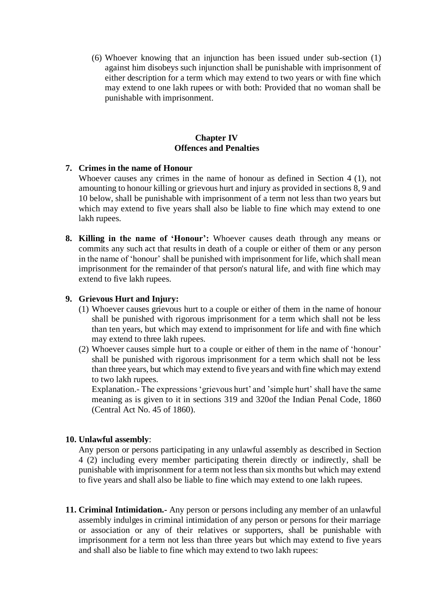(6) Whoever knowing that an injunction has been issued under sub-section (1) against him disobeys such injunction shall be punishable with imprisonment of either description for a term which may extend to two years or with fine which may extend to one lakh rupees or with both: Provided that no woman shall be punishable with imprisonment.

## **Chapter IV Offences and Penalties**

## **7. Crimes in the name of Honour**

Whoever causes any crimes in the name of honour as defined in Section 4 (1), not amounting to honour killing or grievous hurt and injury as provided in sections 8, 9 and 10 below, shall be punishable with imprisonment of a term not less than two years but which may extend to five years shall also be liable to fine which may extend to one lakh rupees.

**8. Killing in the name of 'Honour':** Whoever causes death through any means or commits any such act that results in death of a couple or either of them or any person in the name of 'honour' shall be punished with imprisonment for life, which shall mean imprisonment for the remainder of that person's natural life, and with fine which may extend to five lakh rupees.

## **9. Grievous Hurt and Injury:**

- (1) Whoever causes grievous hurt to a couple or either of them in the name of honour shall be punished with rigorous imprisonment for a term which shall not be less than ten years, but which may extend to imprisonment for life and with fine which may extend to three lakh rupees.
- (2) Whoever causes simple hurt to a couple or either of them in the name of 'honour' shall be punished with rigorous imprisonment for a term which shall not be less than three years, but which may extend to five years and with fine which may extend to two lakh rupees.

Explanation.- The expressions 'grievous hurt' and 'simple hurt' shall have the same meaning as is given to it in sections 319 and 320of the Indian Penal Code, 1860 (Central Act No. 45 of 1860).

#### **10. Unlawful assembly**:

Any person or persons participating in any unlawful assembly as described in Section 4 (2) including every member participating therein directly or indirectly, shall be punishable with imprisonment for a term not less than six months but which may extend to five years and shall also be liable to fine which may extend to one lakh rupees.

**11. Criminal Intimidation.-** Any person or persons including any member of an unlawful assembly indulges in criminal intimidation of any person or persons for their marriage or association or any of their relatives or supporters, shall be punishable with imprisonment for a term not less than three years but which may extend to five years and shall also be liable to fine which may extend to two lakh rupees: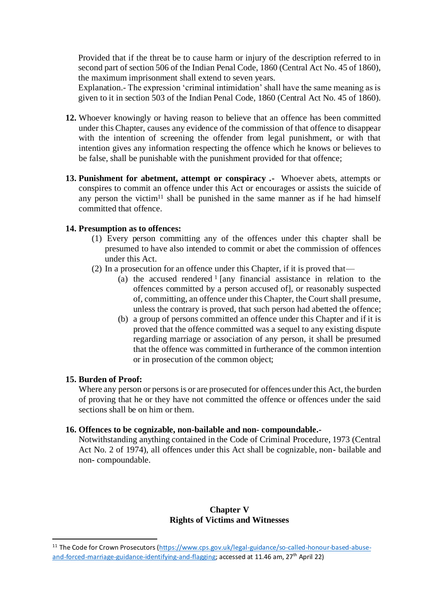Provided that if the threat be to cause harm or injury of the description referred to in second part of section 506 of the Indian Penal Code, 1860 (Central Act No. 45 of 1860), the maximum imprisonment shall extend to seven years.

Explanation.- The expression 'criminal intimidation' shall have the same meaning as is given to it in section 503 of the Indian Penal Code, 1860 (Central Act No. 45 of 1860).

- **12.** Whoever knowingly or having reason to believe that an offence has been committed under this Chapter, causes any evidence of the commission of that offence to disappear with the intention of screening the offender from legal punishment, or with that intention gives any information respecting the offence which he knows or believes to be false, shall be punishable with the punishment provided for that offence;
- **13. Punishment for abetment, attempt or conspiracy .-** Whoever abets, attempts or conspires to commit an offence under this Act or encourages or assists the suicide of any person the victim<sup>11</sup> shall be punished in the same manner as if he had himself committed that offence.

#### **14. Presumption as to offences:**

- (1) Every person committing any of the offences under this chapter shall be presumed to have also intended to commit or abet the commission of offences under this Act.
- (2) In a prosecution for an offence under this Chapter, if it is proved that—
	- (a) the accused rendered <sup>1</sup> [any financial assistance in relation to the offences committed by a person accused of], or reasonably suspected of, committing, an offence under this Chapter, the Court shall presume, unless the contrary is proved, that such person had abetted the offence;
	- (b) a group of persons committed an offence under this Chapter and if it is proved that the offence committed was a sequel to any existing dispute regarding marriage or association of any person, it shall be presumed that the offence was committed in furtherance of the common intention or in prosecution of the common object;

#### **15. Burden of Proof:**

Where any person or persons is or are prosecuted for offences under this Act, the burden of proving that he or they have not committed the offence or offences under the said sections shall be on him or them.

#### **16. Offences to be cognizable, non-bailable and non- compoundable.-**

Notwithstanding anything contained in the Code of Criminal Procedure, 1973 (Central Act No. 2 of 1974), all offences under this Act shall be cognizable, non- bailable and non- compoundable.

## **Chapter V Rights of Victims and Witnesses**

<sup>&</sup>lt;sup>11</sup> The Code for Crown Prosecutors [\(https://www.cps.gov.uk/legal-guidance/so-called-honour-based-abuse](https://www.cps.gov.uk/legal-guidance/so-called-honour-based-abuse-and-forced-marriage-guidance-identifying-and-flagging)[and-forced-marriage-guidance-identifying-and-flagging;](https://www.cps.gov.uk/legal-guidance/so-called-honour-based-abuse-and-forced-marriage-guidance-identifying-and-flagging) accessed at 11.46 am, 27<sup>th</sup> April 22)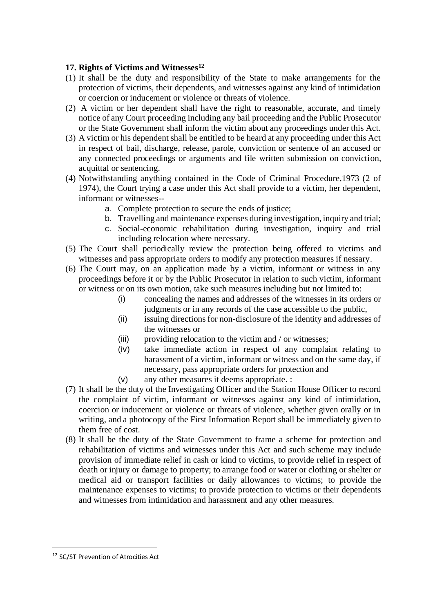# **17. Rights of Victims and Witnesses<sup>12</sup>**

- (1) It shall be the duty and responsibility of the State to make arrangements for the protection of victims, their dependents, and witnesses against any kind of intimidation or coercion or inducement or violence or threats of violence.
- (2) A victim or her dependent shall have the right to reasonable, accurate, and timely notice of any Court proceeding including any bail proceeding and the Public Prosecutor or the State Government shall inform the victim about any proceedings under this Act.
- (3) A victim or his dependent shall be entitled to be heard at any proceeding under this Act in respect of bail, discharge, release, parole, conviction or sentence of an accused or any connected proceedings or arguments and file written submission on conviction, acquittal or sentencing.
- (4) Notwithstanding anything contained in the Code of Criminal Procedure,1973 (2 of 1974), the Court trying a case under this Act shall provide to a victim, her dependent, informant or witnesses-
	- a. Complete protection to secure the ends of justice;
	- b. Travelling and maintenance expenses during investigation, inquiry and trial;
	- c. Social-economic rehabilitation during investigation, inquiry and trial including relocation where necessary.
- (5) The Court shall periodically review the protection being offered to victims and witnesses and pass appropriate orders to modify any protection measures if nessary.
- (6) The Court may, on an application made by a victim, informant or witness in any proceedings before it or by the Public Prosecutor in relation to such victim, informant or witness or on its own motion, take such measures including but not limited to:
	- (i) concealing the names and addresses of the witnesses in its orders or judgments or in any records of the case accessible to the public,
	- (ii) issuing directions for non-disclosure of the identity and addresses of the witnesses or
	- (iii) providing relocation to the victim and / or witnesses;
	- (iv) take immediate action in respect of any complaint relating to harassment of a victim, informant or witness and on the same day, if necessary, pass appropriate orders for protection and
	- (v) any other measures it deems appropriate. :
- (7) It shall be the duty of the Investigating Officer and the Station House Officer to record the complaint of victim, informant or witnesses against any kind of intimidation, coercion or inducement or violence or threats of violence, whether given orally or in writing, and a photocopy of the First Information Report shall be immediately given to them free of cost.
- (8) It shall be the duty of the State Government to frame a scheme for protection and rehabilitation of victims and witnesses under this Act and such scheme may include provision of immediate relief in cash or kind to victims, to provide relief in respect of death or injury or damage to property; to arrange food or water or clothing or shelter or medical aid or transport facilities or daily allowances to victims; to provide the maintenance expenses to victims; to provide protection to victims or their dependents and witnesses from intimidation and harassment and any other measures.

<sup>&</sup>lt;sup>12</sup> SC/ST Prevention of Atrocities Act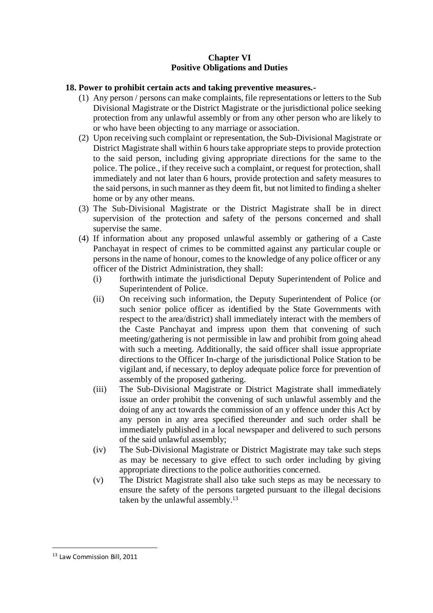# **Chapter VI Positive Obligations and Duties**

# **18. Power to prohibit certain acts and taking preventive measures.-**

- (1) Any person / persons can make complaints, file representations or letters to the Sub Divisional Magistrate or the District Magistrate or the jurisdictional police seeking protection from any unlawful assembly or from any other person who are likely to or who have been objecting to any marriage or association.
- (2) Upon receiving such complaint or representation, the Sub-Divisional Magistrate or District Magistrate shall within 6 hours take appropriate steps to provide protection to the said person, including giving appropriate directions for the same to the police. The police., if they receive such a complaint, or request for protection, shall immediately and not later than 6 hours, provide protection and safety measures to the said persons, in such manner as they deem fit, but not limited to finding a shelter home or by any other means.
- (3) The Sub-Divisional Magistrate or the District Magistrate shall be in direct supervision of the protection and safety of the persons concerned and shall supervise the same.
- (4) If information about any proposed unlawful assembly or gathering of a Caste Panchayat in respect of crimes to be committed against any particular couple or persons in the name of honour, comes to the knowledge of any police officer or any officer of the District Administration, they shall:
	- (i) forthwith intimate the jurisdictional Deputy Superintendent of Police and Superintendent of Police.
	- (ii) On receiving such information, the Deputy Superintendent of Police (or such senior police officer as identified by the State Governments with respect to the area/district) shall immediately interact with the members of the Caste Panchayat and impress upon them that convening of such meeting/gathering is not permissible in law and prohibit from going ahead with such a meeting. Additionally, the said officer shall issue appropriate directions to the Officer In-charge of the jurisdictional Police Station to be vigilant and, if necessary, to deploy adequate police force for prevention of assembly of the proposed gathering.
	- (iii) The Sub-Divisional Magistrate or District Magistrate shall immediately issue an order prohibit the convening of such unlawful assembly and the doing of any act towards the commission of an y offence under this Act by any person in any area specified thereunder and such order shall be immediately published in a local newspaper and delivered to such persons of the said unlawful assembly;
	- (iv) The Sub-Divisional Magistrate or District Magistrate may take such steps as may be necessary to give effect to such order including by giving appropriate directions to the police authorities concerned.
	- (v) The District Magistrate shall also take such steps as may be necessary to ensure the safety of the persons targeted pursuant to the illegal decisions taken by the unlawful assembly.<sup>13</sup>

<sup>13</sup> Law Commission Bill, 2011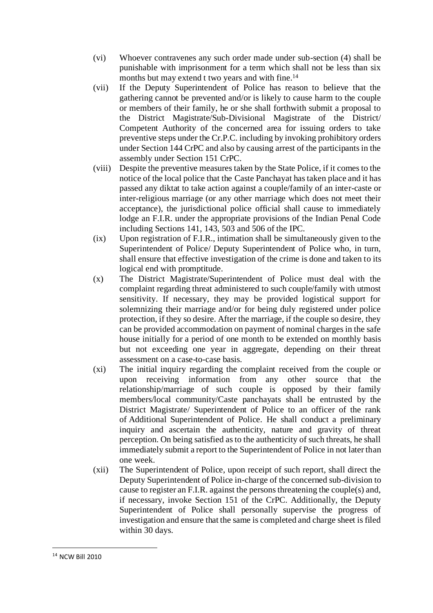- (vi) Whoever contravenes any such order made under sub-section (4) shall be punishable with imprisonment for a term which shall not be less than six months but may extend t two years and with fine.<sup>14</sup>
- (vii) If the Deputy Superintendent of Police has reason to believe that the gathering cannot be prevented and/or is likely to cause harm to the couple or members of their family, he or she shall forthwith submit a proposal to the District Magistrate/Sub-Divisional Magistrate of the District/ Competent Authority of the concerned area for issuing orders to take preventive steps under the Cr.P.C. including by invoking prohibitory orders under Section 144 CrPC and also by causing arrest of the participants in the assembly under Section 151 CrPC.
- (viii) Despite the preventive measures taken by the State Police, if it comes to the notice of the local police that the Caste Panchayat has taken place and it has passed any diktat to take action against a couple/family of an inter-caste or inter-religious marriage (or any other marriage which does not meet their acceptance), the jurisdictional police official shall cause to immediately lodge an F.I.R. under the appropriate provisions of the Indian Penal Code including Sections 141, 143, 503 and 506 of the IPC.
- (ix) Upon registration of F.I.R., intimation shall be simultaneously given to the Superintendent of Police/ Deputy Superintendent of Police who, in turn, shall ensure that effective investigation of the crime is done and taken to its logical end with promptitude.
- (x) The District Magistrate/Superintendent of Police must deal with the complaint regarding threat administered to such couple/family with utmost sensitivity. If necessary, they may be provided logistical support for solemnizing their marriage and/or for being duly registered under police protection, if they so desire. After the marriage, if the couple so desire, they can be provided accommodation on payment of nominal charges in the safe house initially for a period of one month to be extended on monthly basis but not exceeding one year in aggregate, depending on their threat assessment on a case-to-case basis.
- (xi) The initial inquiry regarding the complaint received from the couple or upon receiving information from any other source that the relationship/marriage of such couple is opposed by their family members/local community/Caste panchayats shall be entrusted by the District Magistrate/ Superintendent of Police to an officer of the rank of Additional Superintendent of Police. He shall conduct a preliminary inquiry and ascertain the authenticity, nature and gravity of threat perception. On being satisfied as to the authenticity of such threats, he shall immediately submit a report to the Superintendent of Police in not later than one week.
- (xii) The Superintendent of Police, upon receipt of such report, shall direct the Deputy Superintendent of Police in-charge of the concerned sub-division to cause to register an F.I.R. against the persons threatening the couple(s) and, if necessary, invoke Section 151 of the CrPC. Additionally, the Deputy Superintendent of Police shall personally supervise the progress of investigation and ensure that the same is completed and charge sheet is filed within 30 days.

<sup>14</sup> NCW Bill 2010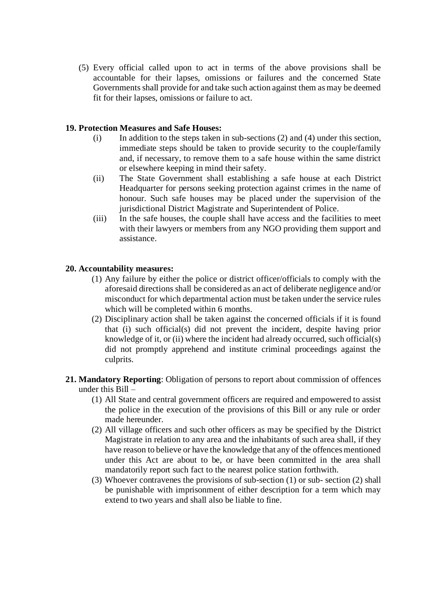(5) Every official called upon to act in terms of the above provisions shall be accountable for their lapses, omissions or failures and the concerned State Governments shall provide for and take such action against them as may be deemed fit for their lapses, omissions or failure to act.

## **19. Protection Measures and Safe Houses:**

- (i) In addition to the steps taken in sub-sections (2) and (4) under this section, immediate steps should be taken to provide security to the couple/family and, if necessary, to remove them to a safe house within the same district or elsewhere keeping in mind their safety.
- (ii) The State Government shall establishing a safe house at each District Headquarter for persons seeking protection against crimes in the name of honour. Such safe houses may be placed under the supervision of the jurisdictional District Magistrate and Superintendent of Police.
- (iii) In the safe houses, the couple shall have access and the facilities to meet with their lawyers or members from any NGO providing them support and assistance.

# **20. Accountability measures:**

- (1) Any failure by either the police or district officer/officials to comply with the aforesaid directions shall be considered as an act of deliberate negligence and/or misconduct for which departmental action must be taken under the service rules which will be completed within 6 months.
- (2) Disciplinary action shall be taken against the concerned officials if it is found that (i) such official(s) did not prevent the incident, despite having prior knowledge of it, or (ii) where the incident had already occurred, such official(s) did not promptly apprehend and institute criminal proceedings against the culprits.
- **21. Mandatory Reporting**: Obligation of persons to report about commission of offences under this Bill –
	- (1) All State and central government officers are required and empowered to assist the police in the execution of the provisions of this Bill or any rule or order made hereunder.
	- (2) All village officers and such other officers as may be specified by the District Magistrate in relation to any area and the inhabitants of such area shall, if they have reason to believe or have the knowledge that any of the offences mentioned under this Act are about to be, or have been committed in the area shall mandatorily report such fact to the nearest police station forthwith.
	- (3) Whoever contravenes the provisions of sub-section (1) or sub- section (2) shall be punishable with imprisonment of either description for a term which may extend to two years and shall also be liable to fine.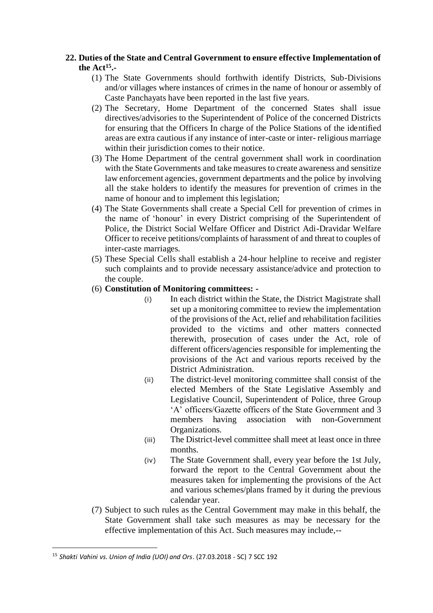# **22. Duties of the State and Central Government to ensure effective Implementation of the Act<sup>15</sup> .-**

- (1) The State Governments should forthwith identify Districts, Sub-Divisions and/or villages where instances of crimes in the name of honour or assembly of Caste Panchayats have been reported in the last five years.
- (2) The Secretary, Home Department of the concerned States shall issue directives/advisories to the Superintendent of Police of the concerned Districts for ensuring that the Officers In charge of the Police Stations of the identified areas are extra cautious if any instance of inter-caste or inter- religious marriage within their jurisdiction comes to their notice.
- (3) The Home Department of the central government shall work in coordination with the State Governments and take measures to create awareness and sensitize law enforcement agencies, government departments and the police by involving all the stake holders to identify the measures for prevention of crimes in the name of honour and to implement this legislation;
- (4) The State Governments shall create a Special Cell for prevention of crimes in the name of 'honour' in every District comprising of the Superintendent of Police, the District Social Welfare Officer and District Adi-Dravidar Welfare Officer to receive petitions/complaints of harassment of and threat to couples of inter-caste marriages.
- (5) These Special Cells shall establish a 24-hour helpline to receive and register such complaints and to provide necessary assistance/advice and protection to the couple.
- (6) **Constitution of Monitoring committees: -**
	- (i) In each district within the State, the District Magistrate shall set up a monitoring committee to review the implementation of the provisions of the Act, relief and rehabilitation facilities provided to the victims and other matters connected therewith, prosecution of cases under the Act, role of different officers/agencies responsible for implementing the provisions of the Act and various reports received by the District Administration.
	- (ii) The district-level monitoring committee shall consist of the elected Members of the State Legislative Assembly and Legislative Council, Superintendent of Police, three Group 'A' officers/Gazette officers of the State Government and 3 members having association with non-Government Organizations.
	- (iii) The District-level committee shall meet at least once in three months.
	- (iv) The State Government shall, every year before the 1st July, forward the report to the Central Government about the measures taken for implementing the provisions of the Act and various schemes/plans framed by it during the previous calendar year.
- (7) Subject to such rules as the Central Government may make in this behalf, the State Government shall take such measures as may be necessary for the effective implementation of this Act. Such measures may include,--

<sup>15</sup> *Shakti Vahini vs. Union of India (UOI) and Ors*. (27.03.2018 - SC) 7 SCC 192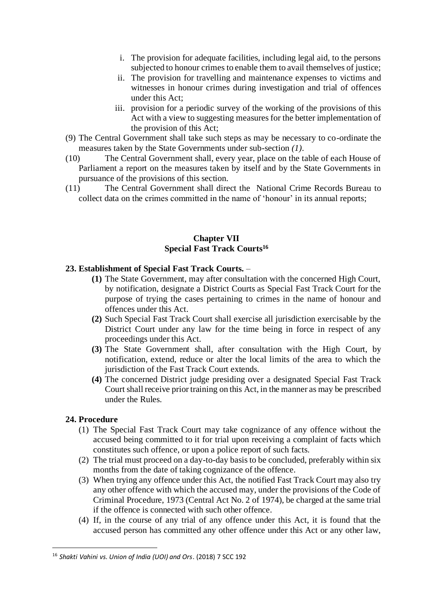- i. The provision for adequate facilities, including legal aid, to the persons subjected to honour crimes to enable them to avail themselves of justice;
- ii. The provision for travelling and maintenance expenses to victims and witnesses in honour crimes during investigation and trial of offences under this Act;
- iii. provision for a periodic survey of the working of the provisions of this Act with a view to suggesting measures for the better implementation of the provision of this Act;
- (9) The Central Government shall take such steps as may be necessary to co-ordinate the measures taken by the State Governments under sub-section *(1)*.
- (10) The Central Government shall, every year, place on the table of each House of Parliament a report on the measures taken by itself and by the State Governments in pursuance of the provisions of this section.
- (11) The Central Government shall direct the National Crime Records Bureau to collect data on the crimes committed in the name of 'honour' in its annual reports;

## **Chapter VII Special Fast Track Courts<sup>16</sup>**

# **23. Establishment of Special Fast Track Courts.** –

- **(1)** The State Government, may after consultation with the concerned High Court, by notification, designate a District Courts as Special Fast Track Court for the purpose of trying the cases pertaining to crimes in the name of honour and offences under this Act.
- **(2)** Such Special Fast Track Court shall exercise all jurisdiction exercisable by the District Court under any law for the time being in force in respect of any proceedings under this Act.
- **(3)** The State Government shall, after consultation with the High Court, by notification, extend, reduce or alter the local limits of the area to which the jurisdiction of the Fast Track Court extends.
- **(4)** The concerned District judge presiding over a designated Special Fast Track Court shall receive prior training on this Act, in the manner as may be prescribed under the Rules.

## **24. Procedure**

- (1) The Special Fast Track Court may take cognizance of any offence without the accused being committed to it for trial upon receiving a complaint of facts which constitutes such offence, or upon a police report of such facts.
- (2) The trial must proceed on a day-to-day basis to be concluded, preferably within six months from the date of taking cognizance of the offence.
- (3) When trying any offence under this Act, the notified Fast Track Court may also try any other offence with which the accused may, under the provisions of the Code of Criminal Procedure, 1973 (Central Act No. 2 of 1974), be charged at the same trial if the offence is connected with such other offence.
- (4) If, in the course of any trial of any offence under this Act, it is found that the accused person has committed any other offence under this Act or any other law,

<sup>16</sup> *Shakti Vahini vs. Union of India (UOI) and Ors*. (2018) 7 SCC 192